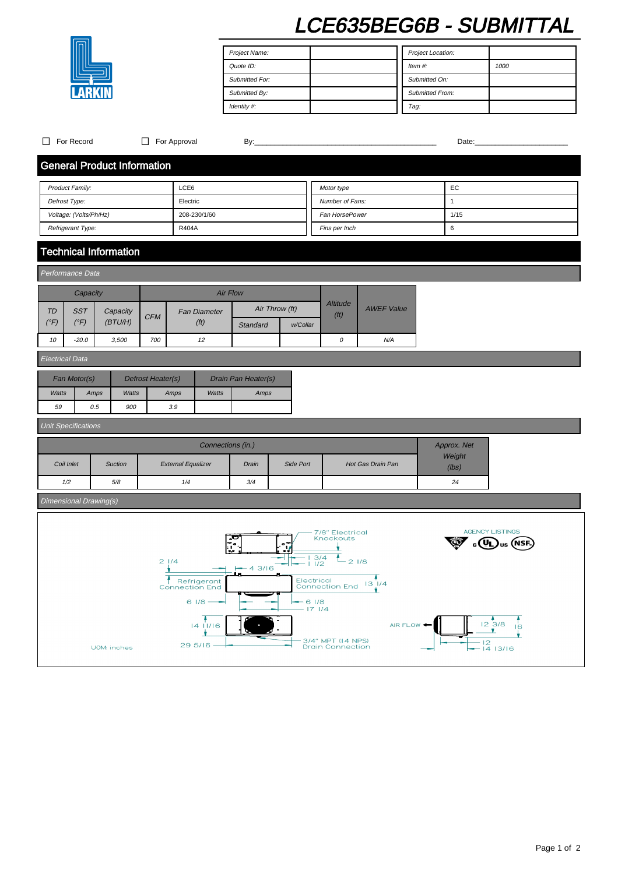# LCE635BEG6B - SUBMITTAL

| Project Name:         | Project Location:      |      |
|-----------------------|------------------------|------|
| Quote ID:             | Item $#$ :             | 1000 |
| <b>Submitted For:</b> | Submitted On:          |      |
| Submitted By:         | <b>Submitted From:</b> |      |
| Identity #:           | Tag:                   |      |

| For Record<br>П                    |                        | $\Box$ For Approval<br>By: |                           |                                      |                   |                     |                 | Date:                                |                                              |    |                   |                  |             |                                             |  |
|------------------------------------|------------------------|----------------------------|---------------------------|--------------------------------------|-------------------|---------------------|-----------------|--------------------------------------|----------------------------------------------|----|-------------------|------------------|-------------|---------------------------------------------|--|
| <b>General Product Information</b> |                        |                            |                           |                                      |                   |                     |                 |                                      |                                              |    |                   |                  |             |                                             |  |
| LCE6<br>Product Family:            |                        |                            |                           |                                      |                   |                     | Motor type      |                                      |                                              | EC |                   |                  |             |                                             |  |
| Defrost Type:                      |                        |                            | Electric                  |                                      |                   |                     | Number of Fans: |                                      |                                              |    | $\mathbf{1}$      |                  |             |                                             |  |
| Voltage: (Volts/Ph/Hz)             |                        |                            |                           | 208-230/1/60                         |                   |                     |                 |                                      | Fan HorsePower                               |    |                   | 1/15             |             |                                             |  |
| Refrigerant Type:                  |                        |                            |                           | R404A                                |                   |                     |                 |                                      | Fins per Inch                                |    |                   | $\boldsymbol{6}$ |             |                                             |  |
| <b>Technical Information</b>       |                        |                            |                           |                                      |                   |                     |                 |                                      |                                              |    |                   |                  |             |                                             |  |
| Performance Data                   |                        |                            |                           |                                      |                   |                     |                 |                                      |                                              |    |                   |                  |             |                                             |  |
|                                    | Capacity               |                            |                           |                                      |                   | <b>Air Flow</b>     |                 |                                      |                                              |    |                   |                  |             |                                             |  |
| <b>TD</b><br><b>SST</b>            |                        | Capacity                   |                           | <b>Fan Diameter</b>                  |                   |                     | Air Throw (ft)  |                                      | <b>Altitude</b>                              |    | <b>AWEF Value</b> |                  |             |                                             |  |
| $(^{\circ}F)$<br>$(^{\circ}F)$     |                        | (BT U/H)                   | <b>CFM</b>                | (f <sup>t</sup> )                    |                   | Standard            | w/Collar        |                                      | (f <sup>t</sup> )                            |    |                   |                  |             |                                             |  |
| 10<br>$-20.0$                      |                        | 3,500                      | 700                       | 12                                   |                   |                     |                 |                                      | 0                                            |    | N/A               |                  |             |                                             |  |
|                                    | <b>Electrical Data</b> |                            |                           |                                      |                   |                     |                 |                                      |                                              |    |                   |                  |             |                                             |  |
| Fan Motor(s)                       |                        |                            | Defrost Heater(s)         |                                      |                   | Drain Pan Heater(s) |                 |                                      |                                              |    |                   |                  |             |                                             |  |
| Watts                              | Amps                   | Watts                      | Amps                      |                                      | Watts             | Amps                |                 |                                      |                                              |    |                   |                  |             |                                             |  |
| 59                                 | 0.5                    | 900                        | 3.9                       |                                      |                   |                     |                 |                                      |                                              |    |                   |                  |             |                                             |  |
| <b>Unit Specifications</b>         |                        |                            |                           |                                      |                   |                     |                 |                                      |                                              |    |                   |                  |             |                                             |  |
|                                    |                        |                            |                           |                                      | Connections (in.) |                     |                 |                                      |                                              |    |                   |                  | Approx. Net |                                             |  |
| Coil Inlet                         | <b>Suction</b>         |                            | <b>External Equalizer</b> |                                      |                   | Drain               | Side Port       |                                      | Hot Gas Drain Pan                            |    |                   | Weight<br>(lbs)  |             |                                             |  |
| 1/2                                | $5/8$                  |                            |                           | 1/4                                  |                   | 3/4                 |                 |                                      |                                              |    |                   |                  | 24          |                                             |  |
| Dimensional Drawing(s)             |                        |                            |                           |                                      |                   |                     |                 |                                      |                                              |    |                   |                  |             |                                             |  |
|                                    |                        |                            |                           |                                      |                   |                     |                 |                                      |                                              |    |                   |                  |             |                                             |  |
|                                    |                        |                            |                           |                                      |                   |                     |                 |                                      | 7/8" Electrical<br>Knockouts                 |    |                   |                  |             | <b>AGENCY LISTINGS</b><br>(NSF<br><b>US</b> |  |
|                                    |                        |                            | 21/4                      |                                      |                   |                     |                 | $\frac{3}{4}$<br>- 1<br>$\mathbf{I}$ | $L_{21/8}$                                   |    |                   |                  |             |                                             |  |
|                                    |                        |                            |                           |                                      |                   | $-43/16$            |                 |                                      |                                              |    |                   |                  |             |                                             |  |
|                                    |                        |                            |                           | Refrigerant<br><b>Connection End</b> |                   |                     |                 |                                      | Electrical<br>Connection End 13 1/4          |    |                   |                  |             |                                             |  |
|                                    |                        |                            |                           | 61/8                                 |                   |                     |                 | $-61/8$<br>$-171/4$                  |                                              |    |                   |                  |             |                                             |  |
|                                    |                        |                            |                           |                                      | 1411/16           |                     |                 |                                      |                                              |    | AIR FLOW <        |                  |             | $12 \frac{4}{3/8}$<br>16<br>۷.              |  |
|                                    | UOM: inches            |                            |                           | 29 5/16                              |                   |                     |                 |                                      | 3/4" MPT (14 NPS)<br><b>Drain Connection</b> |    |                   |                  |             | $-12$<br>- 14 13/16                         |  |